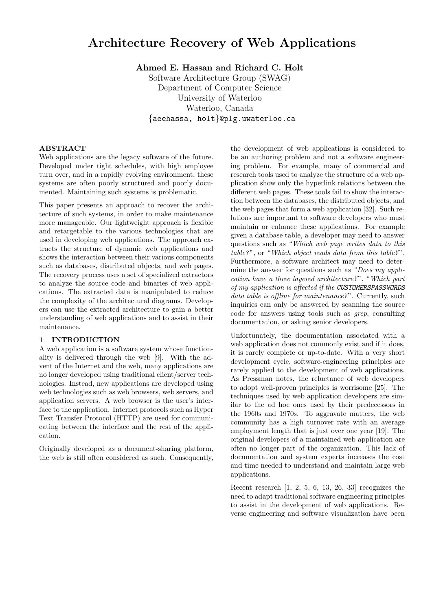# Architecture Recovery of Web Applications

Ahmed E. Hassan and Richard C. Holt Software Architecture Group (SWAG) Department of Computer Science University of Waterloo Waterloo, Canada {aeehassa, holt}@plg.uwaterloo.ca

### ABSTRACT

Web applications are the legacy software of the future. Developed under tight schedules, with high employee turn over, and in a rapidly evolving environment, these systems are often poorly structured and poorly documented. Maintaining such systems is problematic.

This paper presents an approach to recover the architecture of such systems, in order to make maintenance more manageable. Our lightweight approach is flexible and retargetable to the various technologies that are used in developing web applications. The approach extracts the structure of dynamic web applications and shows the interaction between their various components such as databases, distributed objects, and web pages. The recovery process uses a set of specialized extractors to analyze the source code and binaries of web applications. The extracted data is manipulated to reduce the complexity of the architectural diagrams. Developers can use the extracted architecture to gain a better understanding of web applications and to assist in their maintenance.

#### 1 INTRODUCTION

A web application is a software system whose functionality is delivered through the web [9]. With the advent of the Internet and the web, many applications are no longer developed using traditional client/server technologies. Instead, new applications are developed using web technologies such as web browsers, web servers, and application servers. A web browser is the user's interface to the application. Internet protocols such as Hyper Text Transfer Protocol (HTTP) are used for communicating between the interface and the rest of the application.

Originally developed as a document-sharing platform, the web is still often considered as such. Consequently, the development of web applications is considered to be an authoring problem and not a software engineering problem. For example, many of commercial and research tools used to analyze the structure of a web application show only the hyperlink relations between the different web pages. These tools fail to show the interaction between the databases, the distributed objects, and the web pages that form a web application [32]. Such relations are important to software developers who must maintain or enhance these applications. For example given a database table, a developer may need to answer questions such as "Which web page writes data to this table?", or "Which object reads data from this table?". Furthermore, a software architect may need to determine the answer for questions such as "Does my application have a three layered architecture?", "Which part of my application is affected if the CUSTOMERSPASSWORDS data table is offline for maintenance?". Currently, such inquiries can only be answered by scanning the source code for answers using tools such as grep, consulting documentation, or asking senior developers.

Unfortunately, the documentation associated with a web application does not commonly exist and if it does, it is rarely complete or up-to-date. With a very short development cycle, software-engineering principles are rarely applied to the development of web applications. As Pressman notes, the reluctance of web developers to adopt well-proven principles is worrisome [25]. The techniques used by web application developers are similar to the ad hoc ones used by their predecessors in the 1960s and 1970s. To aggravate matters, the web community has a high turnover rate with an average employment length that is just over one year [19]. The original developers of a maintained web application are often no longer part of the organization. This lack of documentation and system experts increases the cost and time needed to understand and maintain large web applications.

Recent research [1, 2, 5, 6, 13, 26, 33] recognizes the need to adapt traditional software engineering principles to assist in the development of web applications. Reverse engineering and software visualization have been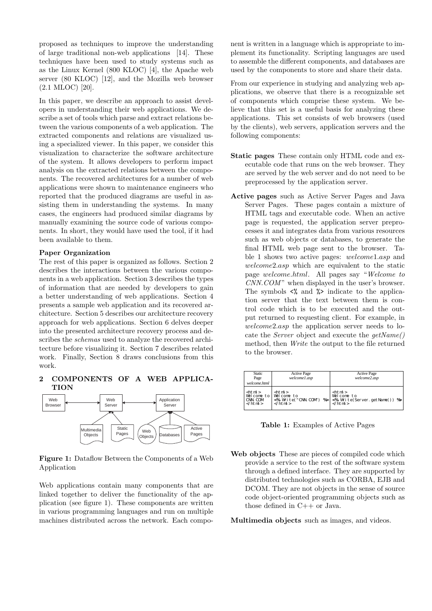proposed as techniques to improve the understanding of large traditional non-web applications [14]. These techniques have been used to study systems such as as the Linux Kernel (800 KLOC) [4], the Apache web server (80 KLOC) [12], and the Mozilla web browser (2.1 MLOC) [20].

In this paper, we describe an approach to assist developers in understanding their web applications. We describe a set of tools which parse and extract relations between the various components of a web application. The extracted components and relations are visualized using a specialized viewer. In this paper, we consider this visualization to characterize the software architecture of the system. It allows developers to perform impact analysis on the extracted relations between the components. The recovered architectures for a number of web applications were shown to maintenance engineers who reported that the produced diagrams are useful in assisting them in understanding the systems. In many cases, the engineers had produced similar diagrams by manually examining the source code of various components. In short, they would have used the tool, if it had been available to them.

### Paper Organization

The rest of this paper is organized as follows. Section 2 describes the interactions between the various components in a web application. Section 3 describes the types of information that are needed by developers to gain a better understanding of web applications. Section 4 presents a sample web application and its recovered architecture. Section 5 describes our architecture recovery approach for web applications. Section 6 delves deeper into the presented architecture recovery process and describes the schemas used to analyze the recovered architecture before visualizing it. Section 7 describes related work. Finally, Section 8 draws conclusions from this work.

# 2 COMPONENTS OF A WEB APPLICA-**TION**



Figure 1: Dataflow Between the Components of a Web Application

Web applications contain many components that are linked together to deliver the functionality of the application (see figure 1). These components are written in various programming languages and run on multiple machines distributed across the network. Each component is written in a language which is appropriate to implement its functionality. Scripting languages are used to assemble the different components, and databases are used by the components to store and share their data.

From our experience in studying and analyzing web applications, we observe that there is a recognizable set of components which comprise these system. We believe that this set is a useful basis for analyzing these applications. This set consists of web browsers (used by the clients), web servers, application servers and the following components:

- Static pages These contain only HTML code and executable code that runs on the web browser. They are served by the web server and do not need to be preprocessed by the application server.
- Active pages such as Active Server Pages and Java Server Pages. These pages contain a mixture of HTML tags and executable code. When an active page is requested, the application server preprocesses it and integrates data from various resources such as web objects or databases, to generate the final HTML web page sent to the browser. Table 1 shows two active pages: welcome1.asp and welcome2.asp which are equivalent to the static page welcome.html. All pages say "Welcome to  $CNN. COM$ " when displayed in the user's browser. The symbols  $\langle \mathcal{K} \rangle$  and  $\langle \mathcal{K} \rangle$  indicate to the application server that the text between them is control code which is to be executed and the output returned to requesting client. For example, in welcome2.asp the application server needs to locate the Server object and execute the getName() method, then Write the output to the file returned to the browser.

| <b>Static</b><br>Page<br>welcome.html                   | <b>Active Page</b><br>welcome1.asp | <b>Active Page</b><br>welcome2.asp                                                          |                                                                                     |
|---------------------------------------------------------|------------------------------------|---------------------------------------------------------------------------------------------|-------------------------------------------------------------------------------------|
| <br><th>th</th><br>CNN. COM<br>$\langle$ html $\rangle$ | th                                 | $<$ html $>$<br>Welcome to Welcome to<br>$\langle$ % Write("CNN.COM") %><br>$\langle$ html> | $\lambda$<br>Welcome to<br><% Write(Server.getName()) %<br>$\langle$ html $\rangle$ |

Table 1: Examples of Active Pages

Web objects These are pieces of compiled code which provide a service to the rest of the software system through a defined interface. They are supported by distributed technologies such as CORBA, EJB and DCOM. They are not objects in the sense of source code object-oriented programming objects such as those defined in C++ or Java.

Multimedia objects such as images, and videos.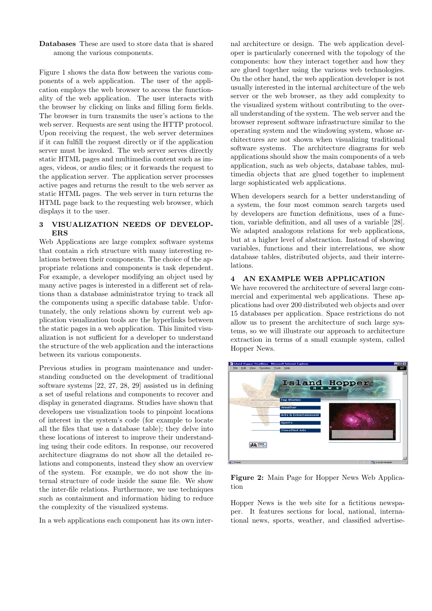### Databases These are used to store data that is shared among the various components.

Figure 1 shows the data flow between the various components of a web application. The user of the application employs the web browser to access the functionality of the web application. The user interacts with the browser by clicking on links and filling form fields. The browser in turn transmits the user's actions to the web server. Requests are sent using the HTTP protocol. Upon receiving the request, the web server determines if it can fulfill the request directly or if the application server must be invoked. The web server serves directly static HTML pages and multimedia content such as images, videos, or audio files; or it forwards the request to the application server. The application server processes active pages and returns the result to the web server as static HTML pages. The web server in turn returns the HTML page back to the requesting web browser, which displays it to the user.

# 3 VISUALIZATION NEEDS OF DEVELOP-**ERS**

Web Applications are large complex software systems that contain a rich structure with many interesting relations between their components. The choice of the appropriate relations and components is task dependent. For example, a developer modifying an object used by many active pages is interested in a different set of relations than a database administrator trying to track all the components using a specific database table. Unfortunately, the only relations shown by current web application visualization tools are the hyperlinks between the static pages in a web application. This limited visualization is not sufficient for a developer to understand the structure of the web application and the interactions between its various components.

Previous studies in program maintenance and understanding conducted on the development of traditional software systems [22, 27, 28, 29] assisted us in defining a set of useful relations and components to recover and display in generated diagrams. Studies have shown that developers use visualization tools to pinpoint locations of interest in the system's code (for example to locate all the files that use a database table); they delve into these locations of interest to improve their understanding using their code editors. In response, our recovered architecture diagrams do not show all the detailed relations and components, instead they show an overview of the system. For example, we do not show the internal structure of code inside the same file. We show the inter-file relations. Furthermore, we use techniques such as containment and information hiding to reduce the complexity of the visualized systems.

In a web applications each component has its own inter-

nal architecture or design. The web application developer is particularly concerned with the topology of the components: how they interact together and how they are glued together using the various web technologies. On the other hand, the web application developer is not usually interested in the internal architecture of the web server or the web browser, as they add complexity to the visualized system without contributing to the overall understanding of the system. The web server and the browser represent software infrastructure similar to the operating system and the windowing system, whose architectures are not shown when visualizing traditional software systems. The architecture diagrams for web applications should show the main components of a web application, such as web objects, database tables, multimedia objects that are glued together to implement large sophisticated web applications.

When developers search for a better understanding of a system, the four most common search targets used by developers are function definitions, uses of a function, variable definition, and all uses of a variable [28]. We adapted analogous relations for web applications, but at a higher level of abstraction. Instead of showing variables, functions and their interrelations, we show database tables, distributed objects, and their interrelations.

# AN EXAMPLE WEB APPLICATION

We have recovered the architecture of several large commercial and experimental web applications. These applications had over 200 distributed web objects and over 15 databases per application. Space restrictions do not allow us to present the architecture of such large systems, so we will illustrate our approach to architecture extraction in terms of a small example system, called Hopper News.



Figure 2: Main Page for Hopper News Web Application

Hopper News is the web site for a fictitious newspaper. It features sections for local, national, international news, sports, weather, and classified advertise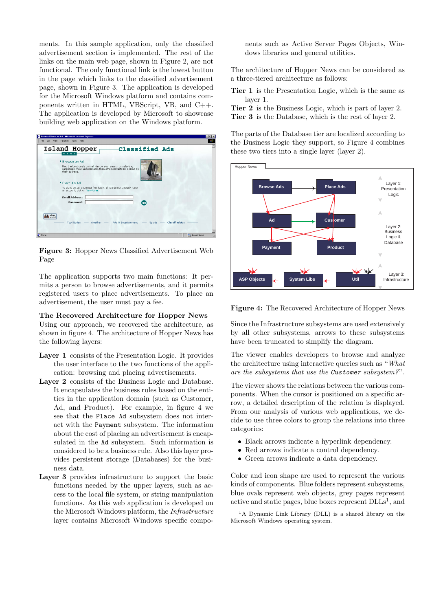ments. In this sample application, only the classified advertisement section is implemented. The rest of the links on the main web page, shown in Figure 2, are not functional. The only functional link is the lowest button in the page which links to the classified advertisement page, shown in Figure 3. The application is developed for the Microsoft Windows platform and contains components written in HTML, VBScript, VB, and C++. The application is developed by Microsoft to showcase building web application on the Windows platform.

| Edit View Favorites Tools Help<br>Eile                                                                                                            |    |
|---------------------------------------------------------------------------------------------------------------------------------------------------|----|
|                                                                                                                                                   | n. |
| Island Hopper<br>Classified Ads<br>$n \cdot e$                                                                                                    |    |
| Browse an Ad                                                                                                                                      |    |
| Find the best deals online! Narrow your search by selecting<br>categories. View updated ads, then email contacts by clicking on<br>their address. |    |
| Place An Ad                                                                                                                                       |    |
| To place an ad, you must first log in. If you do not already have<br>an account, dick on New User.                                                |    |
| <b>Email Address:</b>                                                                                                                             |    |
| Password:<br>go)                                                                                                                                  |    |
| <b>M</b> view                                                                                                                                     |    |
| - Arts & Entertainment<br><b>Classified Ads</b><br><b>Top Stories</b><br>Weather<br>Sports                                                        |    |
|                                                                                                                                                   |    |
| <b>Fet Local intranet</b><br>21 Done                                                                                                              |    |

Figure 3: Hopper News Classified Advertisement Web Page

The application supports two main functions: It permits a person to browse advertisements, and it permits registered users to place advertisements. To place an advertisement, the user must pay a fee.

### The Recovered Architecture for Hopper News

Using our approach, we recovered the architecture, as shown in figure 4. The architecture of Hopper News has the following layers:

- Layer 1 consists of the Presentation Logic. It provides the user interface to the two functions of the application: browsing and placing advertisements.
- Layer 2 consists of the Business Logic and Database. It encapsulates the business rules based on the entities in the application domain (such as Customer, Ad, and Product). For example, in figure 4 we see that the Place Ad subsystem does not interact with the Payment subsystem. The information about the cost of placing an advertisement is encapsulated in the Ad subsystem. Such information is considered to be a business rule. Also this layer provides persistent storage (Databases) for the business data.
- Layer 3 provides infrastructure to support the basic functions needed by the upper layers, such as access to the local file system, or string manipulation functions. As this web application is developed on the Microsoft Windows platform, the Infrastructure layer contains Microsoft Windows specific compo-

nents such as Active Server Pages Objects, Windows libraries and general utilities.

The architecture of Hopper News can be considered as a three-tiered architecture as follows:

Tier 1 is the Presentation Logic, which is the same as layer 1.

Tier 2 is the Business Logic, which is part of layer 2. Tier 3 is the Database, which is the rest of layer 2.

The parts of the Database tier are localized according to the Business Logic they support, so Figure 4 combines these two tiers into a single layer (layer 2).





Since the Infrastructure subsystems are used extensively by all other subsystems, arrows to these subsystems have been truncated to simplify the diagram.

The viewer enables developers to browse and analyze the architecture using interactive queries such as "What are the subsystems that use the Customer subsystem?".

The viewer shows the relations between the various components. When the cursor is positioned on a specific arrow, a detailed description of the relation is displayed. From our analysis of various web applications, we decide to use three colors to group the relations into three categories:

- Black arrows indicate a hyperlink dependency.
- Red arrows indicate a control dependency.
- Green arrows indicate a data dependency.

Color and icon shape are used to represent the various kinds of components. Blue folders represent subsystems, blue ovals represent web objects, grey pages represent active and static pages, blue boxes represent  $\text{DLLs}^1$ , and

<sup>&</sup>lt;sup>1</sup>A Dynamic Link Library (DLL) is a shared library on the Microsoft Windows operating system.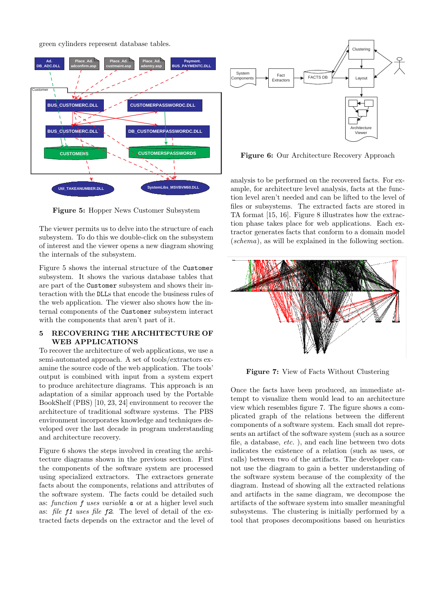green cylinders represent database tables.



Figure 5: Hopper News Customer Subsystem

The viewer permits us to delve into the structure of each subsystem. To do this we double-click on the subsystem of interest and the viewer opens a new diagram showing the internals of the subsystem.

Figure 5 shows the internal structure of the Customer subsystem. It shows the various database tables that are part of the Customer subsystem and shows their interaction with the DLLs that encode the business rules of the web application. The viewer also shows how the internal components of the Customer subsystem interact with the components that aren't part of it.

### 5 RECOVERING THE ARCHITECTURE OF WEB APPLICATIONS

To recover the architecture of web applications, we use a semi-automated approach. A set of tools/extractors examine the source code of the web application. The tools' output is combined with input from a system expert to produce architecture diagrams. This approach is an adaptation of a similar approach used by the Portable BookShelf (PBS) [10, 23, 24] environment to recover the architecture of traditional software systems. The PBS environment incorporates knowledge and techniques developed over the last decade in program understanding and architecture recovery.

Figure 6 shows the steps involved in creating the architecture diagrams shown in the previous section. First the components of the software system are processed using specialized extractors. The extractors generate facts about the components, relations and attributes of the software system. The facts could be detailed such as: function f uses variable a or at a higher level such as: file  $f1$  uses file  $f2$ . The level of detail of the extracted facts depends on the extractor and the level of



Figure 6: Our Architecture Recovery Approach

analysis to be performed on the recovered facts. For example, for architecture level analysis, facts at the function level aren't needed and can be lifted to the level of files or subsystems. The extracted facts are stored in TA format [15, 16]. Figure 8 illustrates how the extraction phase takes place for web applications. Each extractor generates facts that conform to a domain model (schema), as will be explained in the following section.



Figure 7: View of Facts Without Clustering

Once the facts have been produced, an immediate attempt to visualize them would lead to an architecture view which resembles figure 7. The figure shows a complicated graph of the relations between the different components of a software system. Each small dot represents an artifact of the software system (such as a source file, a database,  $etc.$  ), and each line between two dots indicates the existence of a relation (such as uses, or calls) between two of the artifacts. The developer cannot use the diagram to gain a better understanding of the software system because of the complexity of the diagram. Instead of showing all the extracted relations and artifacts in the same diagram, we decompose the artifacts of the software system into smaller meaningful subsystems. The clustering is initially performed by a tool that proposes decompositions based on heuristics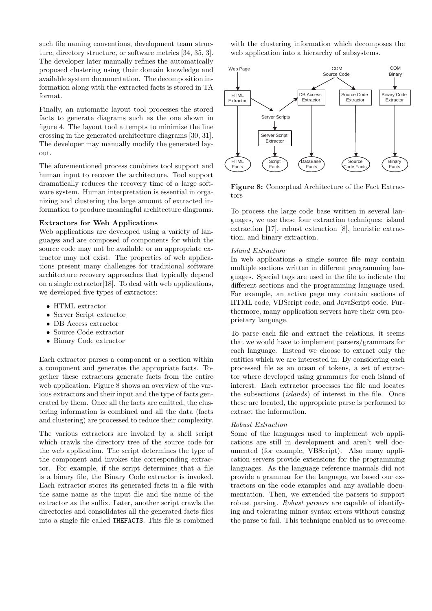such file naming conventions, development team structure, directory structure, or software metrics [34, 35, 3]. The developer later manually refines the automatically proposed clustering using their domain knowledge and available system documentation. The decomposition information along with the extracted facts is stored in TA format.

Finally, an automatic layout tool processes the stored facts to generate diagrams such as the one shown in figure 4. The layout tool attempts to minimize the line crossing in the generated architecture diagrams [30, 31]. The developer may manually modify the generated layout.

The aforementioned process combines tool support and human input to recover the architecture. Tool support dramatically reduces the recovery time of a large software system. Human interpretation is essential in organizing and clustering the large amount of extracted information to produce meaningful architecture diagrams.

### Extractors for Web Applications

Web applications are developed using a variety of languages and are composed of components for which the source code may not be available or an appropriate extractor may not exist. The properties of web applications present many challenges for traditional software architecture recovery approaches that typically depend on a single extractor[18]. To deal with web applications, we developed five types of extractors:

- HTML extractor
- Server Script extractor
- DB Access extractor
- Source Code extractor
- Binary Code extractor

Each extractor parses a component or a section within a component and generates the appropriate facts. Together these extractors generate facts from the entire web application. Figure 8 shows an overview of the various extractors and their input and the type of facts generated by them. Once all the facts are emitted, the clustering information is combined and all the data (facts and clustering) are processed to reduce their complexity.

The various extractors are invoked by a shell script which crawls the directory tree of the source code for the web application. The script determines the type of the component and invokes the corresponding extractor. For example, if the script determines that a file is a binary file, the Binary Code extractor is invoked. Each extractor stores its generated facts in a file with the same name as the input file and the name of the extractor as the suffix. Later, another script crawls the directories and consolidates all the generated facts files into a single file called THEFACTS. This file is combined

with the clustering information which decomposes the web application into a hierarchy of subsystems.



Figure 8: Conceptual Architecture of the Fact Extractors

To process the large code base written in several languages, we use these four extraction techniques: island extraction [17], robust extraction [8], heuristic extraction, and binary extraction.

### Island Extraction

In web applications a single source file may contain multiple sections written in different programming languages. Special tags are used in the file to indicate the different sections and the programming language used. For example, an active page may contain sections of HTML code, VBScript code, and JavaScript code. Furthermore, many application servers have their own proprietary language.

To parse each file and extract the relations, it seems that we would have to implement parsers/grammars for each language. Instead we choose to extract only the entities which we are interested in. By considering each processed file as an ocean of tokens, a set of extractor where developed using grammars for each island of interest. Each extractor processes the file and locates the subsections (islands) of interest in the file. Once these are located, the appropriate parse is performed to extract the information.

#### Robust Extraction

Some of the languages used to implement web applications are still in development and aren't well documented (for example, VBScript). Also many application servers provide extensions for the programming languages. As the language reference manuals did not provide a grammar for the language, we based our extractors on the code examples and any available documentation. Then, we extended the parsers to support robust parsing. Robust parsers are capable of identifying and tolerating minor syntax errors without causing the parse to fail. This technique enabled us to overcome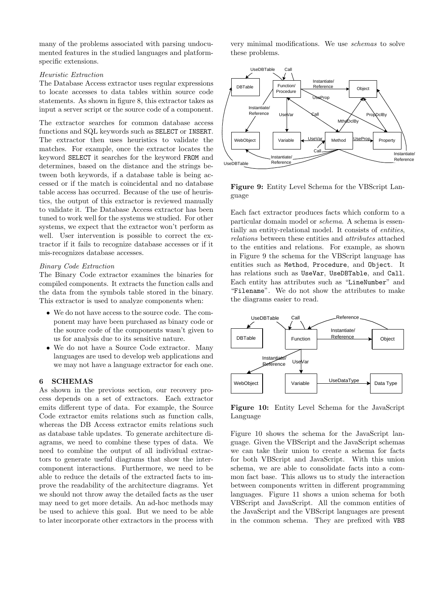many of the problems associated with parsing undocumented features in the studied languages and platformspecific extensions.

### Heuristic Extraction

The Database Access extractor uses regular expressions to locate accesses to data tables within source code statements. As shown in figure 8, this extractor takes as input a server script or the source code of a component.

The extractor searches for common database access functions and SQL keywords such as SELECT or INSERT. The extractor then uses heuristics to validate the matches. For example, once the extractor locates the keyword SELECT it searches for the keyword FROM and determines, based on the distance and the strings between both keywords, if a database table is being accessed or if the match is coincidental and no database table access has occurred. Because of the use of heuristics, the output of this extractor is reviewed manually to validate it. The Database Access extractor has been tuned to work well for the systems we studied. For other systems, we expect that the extractor won't perform as well. User intervention is possible to correct the extractor if it fails to recognize database accesses or if it mis-recognizes database accesses.

# Binary Code Extraction

The Binary Code extractor examines the binaries for compiled components. It extracts the function calls and the data from the symbols table stored in the binary. This extractor is used to analyze components when:

- We do not have access to the source code. The component may have been purchased as binary code or the source code of the components wasn't given to us for analysis due to its sensitive nature.
- We do not have a Source Code extractor. Many languages are used to develop web applications and we may not have a language extractor for each one.

# 6 SCHEMAS

As shown in the previous section, our recovery process depends on a set of extractors. Each extractor emits different type of data. For example, the Source Code extractor emits relations such as function calls, whereas the DB Access extractor emits relations such as database table updates. To generate architecture diagrams, we need to combine these types of data. We need to combine the output of all individual extractors to generate useful diagrams that show the intercomponent interactions. Furthermore, we need to be able to reduce the details of the extracted facts to improve the readability of the architecture diagrams. Yet we should not throw away the detailed facts as the user may need to get more details. An ad-hoc methods may be used to achieve this goal. But we need to be able to later incorporate other extractors in the process with

very minimal modifications. We use schemas to solve these problems.



Figure 9: Entity Level Schema for the VBScript Language

Each fact extractor produces facts which conform to a particular domain model or schema. A schema is essentially an entity-relational model. It consists of entities, relations between these entities and attributes attached to the entities and relations. For example, as shown in Figure 9 the schema for the VBScript language has entities such as Method, Procedure, and Object. It has relations such as UseVar, UseDBTable, and Call. Each entity has attributes such as "LineNumber" and "Filename". We do not show the attributes to make the diagrams easier to read.



Figure 10: Entity Level Schema for the JavaScript Language

Figure 10 shows the schema for the JavaScript language. Given the VBScript and the JavaScript schemas we can take their union to create a schema for facts for both VBScript and JavaScript. With this union schema, we are able to consolidate facts into a common fact base. This allows us to study the interaction between components written in different programming languages. Figure 11 shows a union schema for both VBScript and JavaScript. All the common entities of the JavaScript and the VBScript languages are present in the common schema. They are prefixed with VBS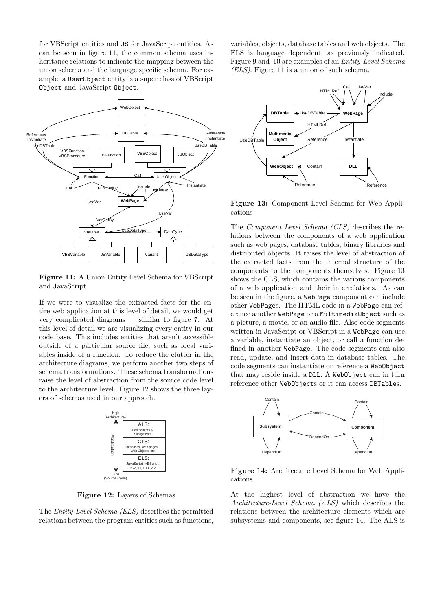for VBScript entities and JS for JavaScript entities. As can be seen in figure 11, the common schema uses inheritance relations to indicate the mapping between the union schema and the language specific schema. For example, a UserObject entity is a super class of VBScript Object and JavaScript Object.



Figure 11: A Union Entity Level Schema for VBScript and JavaScript

If we were to visualize the extracted facts for the entire web application at this level of detail, we would get very complicated diagrams — similar to figure 7. At this level of detail we are visualizing every entity in our code base. This includes entities that aren't accessible outside of a particular source file, such as local variables inside of a function. To reduce the clutter in the architecture diagrams, we perform another two steps of schema transformations. These schema transformations raise the level of abstraction from the source code level to the architecture level. Figure 12 shows the three layers of schemas used in our approach.



Figure 12: Layers of Schemas

The Entity-Level Schema (ELS) describes the permitted relations between the program entities such as functions, variables, objects, database tables and web objects. The ELS is language dependent, as previously indicated. Figure 9 and 10 are examples of an Entity-Level Schema (ELS). Figure 11 is a union of such schema.



Figure 13: Component Level Schema for Web Applications

The Component Level Schema (CLS) describes the relations between the components of a web application such as web pages, database tables, binary libraries and distributed objects. It raises the level of abstraction of the extracted facts from the internal structure of the components to the components themselves. Figure 13 shows the CLS, which contains the various components of a web application and their interrelations. As can be seen in the figure, a WebPage component can include other WebPages. The HTML code in a WebPage can reference another WebPage or a MultimediaObject such as a picture, a movie, or an audio file. Also code segments written in JavaScript or VBScript in a WebPage can use a variable, instantiate an object, or call a function defined in another WebPage. The code segments can also read, update, and insert data in database tables. The code segments can instantiate or reference a WebObject that may reside inside a DLL. A WebObject can in turn reference other WebObjects or it can access DBTables.



Figure 14: Architecture Level Schema for Web Applications

At the highest level of abstraction we have the Architecture-Level Schema (ALS) which describes the relations between the architecture elements which are subsystems and components, see figure 14. The ALS is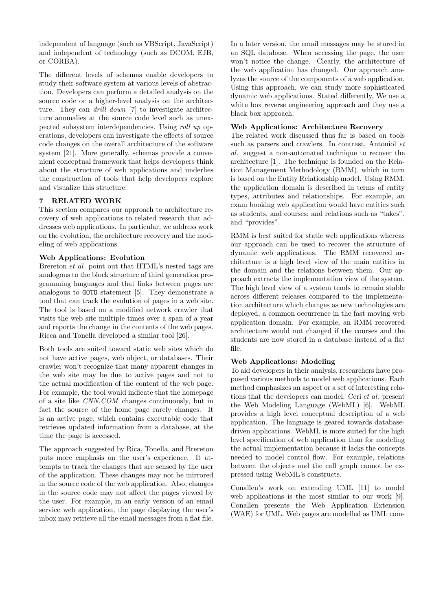independent of language (such as VBScript, JavaScript) and independent of technology (such as DCOM, EJB, or CORBA).

The different levels of schemas enable developers to study their software system at various levels of abstraction. Developers can perform a detailed analysis on the source code or a higher-level analysis on the architecture. They can *drill down* [7] to investigate architecture anomalies at the source code level such as unexpected subsystem interdependencies. Using roll up operations, developers can investigate the effects of source code changes on the overall architecture of the software system [21]. More generally, schemas provide a convenient conceptual framework that helps developers think about the structure of web applications and underlies the construction of tools that help developers explore and visualize this structure.

# 7 RELATED WORK

This section compares our approach to architecture recovery of web applications to related research that addresses web applications. In particular, we address work on the evolution, the architecture recovery and the modeling of web applications.

# Web Applications: Evolution

Brereton et al. point out that HTML's nested tags are analogous to the block structure of third generation programming languages and that links between pages are analogous to GOTO statement [5]. They demonstrate a tool that can track the evolution of pages in a web site. The tool is based on a modified network crawler that visits the web site multiple times over a span of a year and reports the change in the contents of the web pages. Ricca and Tonella developed a similar tool [26].

Both tools are suited toward static web sites which do not have active pages, web object, or databases. Their crawler won't recognize that many apparent changes in the web site may be due to active pages and not to the actual modification of the content of the web page. For example, the tool would indicate that the homepage of a site like CNN.COM changes continuously, but in fact the source of the home page rarely changes. It is an active page, which contains executable code that retrieves updated information from a database, at the time the page is accessed.

The approach suggested by Rica, Tonella, and Brereton puts more emphasis on the user's experience. It attempts to track the changes that are sensed by the user of the application. These changes may not be mirrored in the source code of the web application. Also, changes in the source code may not affect the pages viewed by the user. For example, in an early version of an email service web application, the page displaying the user's inbox may retrieve all the email messages from a flat file. In a later version, the email messages may be stored in an SQL database. When accessing the page, the user won't notice the change. Clearly, the architecture of the web application has changed. Our approach analyzes the source of the components of a web application. Using this approach, we can study more sophisticated dynamic web applications. Stated differently, We use a white box reverse engineering approach and they use a black box approach.

### Web Applications: Architecture Recovery

The related work discussed thus far is based on tools such as parsers and crawlers. In contrast, Antoniol et al. suggest a non-automated technique to recover the architecture [1]. The technique is founded on the Relation Management Methodology (RMM), which in turn is based on the Entity Relationship model. Using RMM, the application domain is described in terms of entity types, attributes and relationships. For example, an exam booking web application would have entities such as students, and courses; and relations such as "takes", and "provides".

RMM is best suited for static web applications whereas our approach can be used to recover the structure of dynamic web applications. The RMM recovered architecture is a high level view of the main entities in the domain and the relations between them. Our approach extracts the implementation view of the system. The high level view of a system tends to remain stable across different releases compared to the implementation architecture which changes as new technologies are deployed, a common occurrence in the fast moving web application domain. For example, an RMM recovered architecture would not changed if the courses and the students are now stored in a database instead of a flat file.

# Web Applications: Modeling

To aid developers in their analysis, researchers have proposed various methods to model web applications. Each method emphasizes an aspect or a set of interesting relations that the developers can model. Ceri et al. present the Web Modeling Language (WebML) [6]. WebML provides a high level conceptual description of a web application. The language is geared towards databasedriven applications. WebML is more suited for the high level specification of web application than for modeling the actual implementation because it lacks the concepts needed to model control flow. For example, relations between the objects and the call graph cannot be expressed using WebML's constructs.

Conallen's work on extending UML [11] to model web applications is the most similar to our work [9]. Conallen presents the Web Application Extension (WAE) for UML. Web pages are modelled as UML com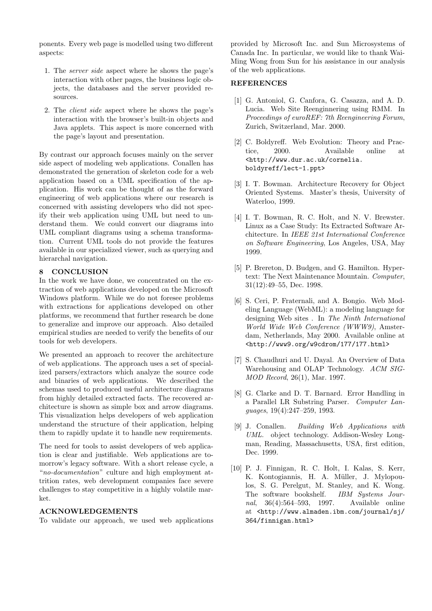ponents. Every web page is modelled using two different aspects:

- 1. The server side aspect where he shows the page's interaction with other pages, the business logic objects, the databases and the server provided resources.
- 2. The client side aspect where he shows the page's interaction with the browser's built-in objects and Java applets. This aspect is more concerned with the page's layout and presentation.

By contrast our approach focuses mainly on the server side aspect of modeling web applications. Conallen has demonstrated the generation of skeleton code for a web application based on a UML specification of the application. His work can be thought of as the forward engineering of web applications where our research is concerned with assisting developers who did not specify their web application using UML but need to understand them. We could convert our diagrams into UML compliant diagrams using a schema transformation. Current UML tools do not provide the features available in our specialized viewer, such as querying and hierarchal navigation.

# 8 CONCLUSION

In the work we have done, we concentrated on the extraction of web applications developed on the Microsoft Windows platform. While we do not foresee problems with extractions for applications developed on other platforms, we recommend that further research be done to generalize and improve our approach. Also detailed empirical studies are needed to verify the benefits of our tools for web developers.

We presented an approach to recover the architecture of web applications. The approach uses a set of specialized parsers/extractors which analyze the source code and binaries of web applications. We described the schemas used to produced useful architecture diagrams from highly detailed extracted facts. The recovered architecture is shown as simple box and arrow diagrams. This visualization helps developers of web application understand the structure of their application, helping them to rapidly update it to handle new requirements.

The need for tools to assist developers of web application is clear and justifiable. Web applications are tomorrow's legacy software. With a short release cycle, a "no-documentation" culture and high employment attrition rates, web development companies face severe challenges to stay competitive in a highly volatile market.

### ACKNOWLEDGEMENTS

To validate our approach, we used web applications

provided by Microsoft Inc. and Sun Microsystems of Canada Inc. In particular, we would like to thank Wai-Ming Wong from Sun for his assistance in our analysis of the web applications.

### REFERENCES

- [1] G. Antoniol, G. Canfora, G. Casazza, and A. D. Lucia. Web Site Reenginnering using RMM. In Proceedings of euroREF: 7th Reengineering Forum, Zurich, Switzerland, Mar. 2000.
- [2] C. Boldyreff. Web Evolution: Theory and Practice, 2000. Available online at <http://www.dur.ac.uk/cornelia. boldyreff/lect-1.ppt>
- [3] I. T. Bowman. Architecture Recovery for Object Oriented Systems. Master's thesis, University of Waterloo, 1999.
- [4] I. T. Bowman, R. C. Holt, and N. V. Brewster. Linux as a Case Study: Its Extracted Software Architecture. In IEEE 21st International Conference on Software Engineering, Los Angeles, USA, May 1999.
- [5] P. Brereton, D. Budgen, and G. Hamilton. Hypertext: The Next Maintenance Mountain. Computer, 31(12):49–55, Dec. 1998.
- [6] S. Ceri, P. Fraternali, and A. Bongio. Web Modeling Language (WebML): a modeling language for designing Web sites . In The Ninth International World Wide Web Conference (WWW9), Amsterdam, Netherlands, May 2000. Available online at <http://www9.org/w9cdrom/177/177.html>
- [7] S. Chaudhuri and U. Dayal. An Overview of Data Warehousing and OLAP Technology. ACM SIG-MOD Record, 26(1), Mar. 1997.
- [8] G. Clarke and D. T. Barnard. Error Handling in a Parallel LR Substring Parser. Computer Languages, 19(4):247–259, 1993.
- [9] J. Conallen. Building Web Applications with UML. object technology. Addison-Wesley Longman, Reading, Massachusetts, USA, first edition, Dec. 1999.
- [10] P. J. Finnigan, R. C. Holt, I. Kalas, S. Kerr, K. Kontogiannis, H. A. Müller, J. Mylopoulos, S. G. Perelgut, M. Stanley, and K. Wong. The software bookshelf. IBM Systems Journal, 36(4):564–593, 1997. Available online at <http://www.almaden.ibm.com/journal/sj/ 364/finnigan.html>